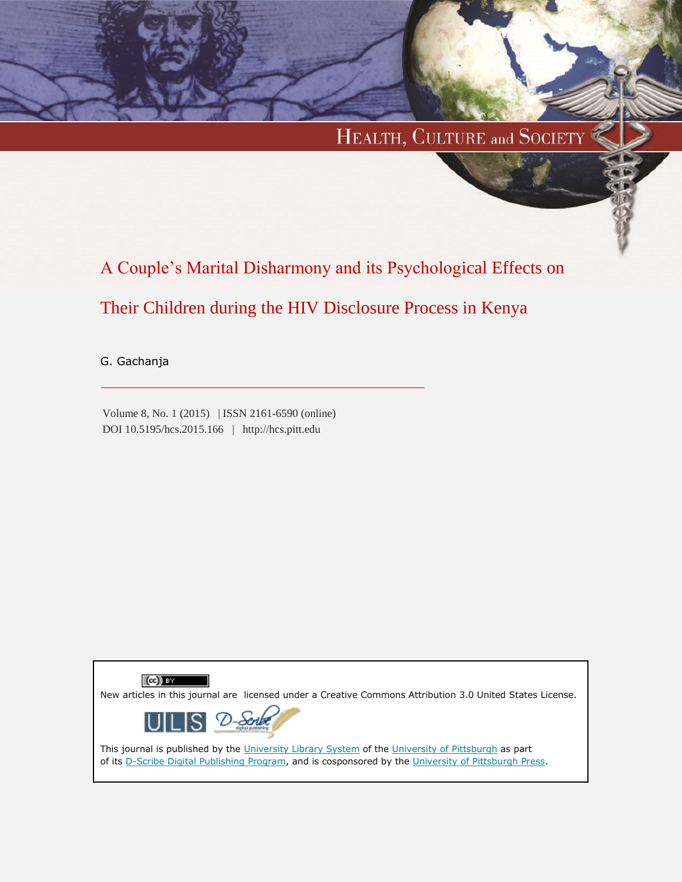# HEALTH, CULTURE and SOCIETY

A Couple's Marital Disharmony and its Psychological Effects on

# Their Children during the HIV Disclosure Process in Kenya

G. Gachanja

Volume 8, No. 1 (2015) | ISSN 2161-6590 (online) DOI 10.5195/hcs.2015.166 | http://hcs.pitt.edu

 $(cc)$  BY New articles in this journal are licensed under a Creative Commons Attribution 3.0 United States License. ∽ This journal is published by the [University Library System](http://www.library.pitt.edu/) of the [University of Pittsburgh](http://www.pitt.edu/) as part

of its [D-Scribe Digital Publishing Program,](http://www.library.pitt.edu/articles/digpubtype/index.html) and is cosponsored by the [University of Pittsburgh Press.](http://www.upress.pitt.edu/upressIndex.aspx)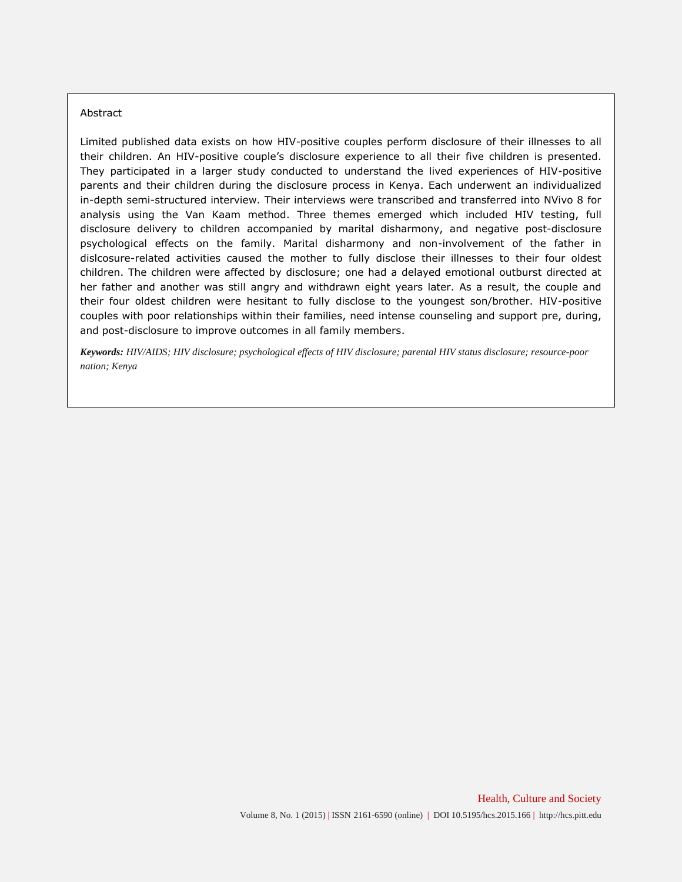#### Abstract

Limited published data exists on how HIV-positive couples perform disclosure of their illnesses to all their children. An HIV-positive couple's disclosure experience to all their five children is presented. They participated in a larger study conducted to understand the lived experiences of HIV-positive parents and their children during the disclosure process in Kenya. Each underwent an individualized in-depth semi-structured interview. Their interviews were transcribed and transferred into NVivo 8 for analysis using the Van Kaam method. Three themes emerged which included HIV testing, full disclosure delivery to children accompanied by marital disharmony, and negative post-disclosure psychological effects on the family. Marital disharmony and non-involvement of the father in dislcosure-related activities caused the mother to fully disclose their illnesses to their four oldest children. The children were affected by disclosure; one had a delayed emotional outburst directed at her father and another was still angry and withdrawn eight years later. As a result, the couple and their four oldest children were hesitant to fully disclose to the youngest son/brother. HIV-positive couples with poor relationships within their families, need intense counseling and support pre, during, and post-disclosure to improve outcomes in all family members.

*Keywords: HIV/AIDS; HIV disclosure; psychological effects of HIV disclosure; parental HIV status disclosure; resource-poor nation; Kenya*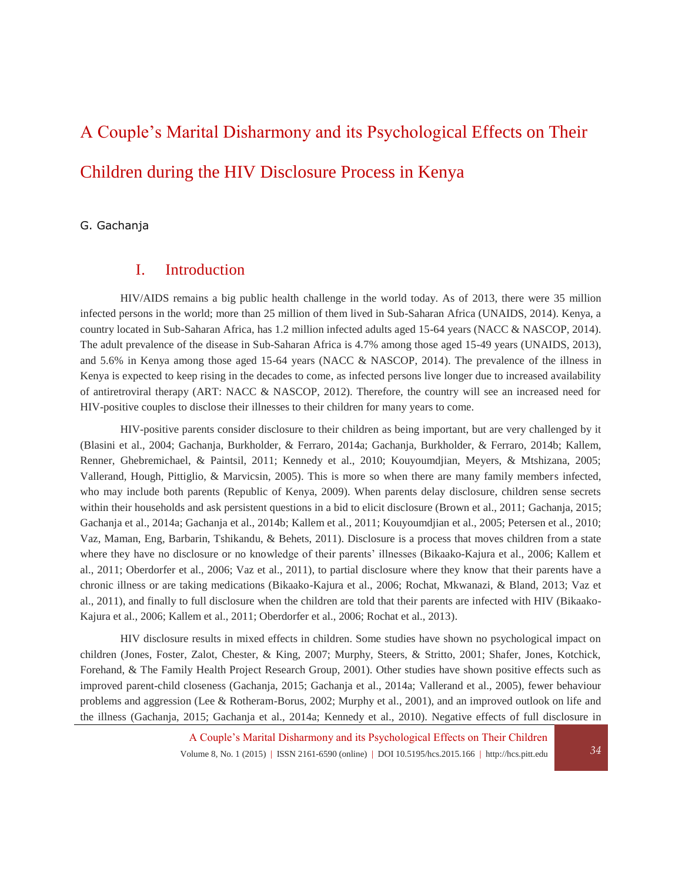# A Couple's Marital Disharmony and its Psychological Effects on Their Children during the HIV Disclosure Process in Kenya

### G. Gachanja

# I. Introduction

HIV/AIDS remains a big public health challenge in the world today. As of 2013, there were 35 million infected persons in the world; more than 25 million of them lived in Sub-Saharan Africa (UNAIDS, 2014). Kenya, a country located in Sub-Saharan Africa, has 1.2 million infected adults aged 15-64 years (NACC & NASCOP, 2014). The adult prevalence of the disease in Sub-Saharan Africa is 4.7% among those aged 15-49 years (UNAIDS, 2013), and 5.6% in Kenya among those aged 15-64 years (NACC & NASCOP, 2014). The prevalence of the illness in Kenya is expected to keep rising in the decades to come, as infected persons live longer due to increased availability of antiretroviral therapy (ART: NACC & NASCOP, 2012). Therefore, the country will see an increased need for HIV-positive couples to disclose their illnesses to their children for many years to come.

HIV-positive parents consider disclosure to their children as being important, but are very challenged by it (Blasini et al., 2004; Gachanja, Burkholder, & Ferraro, 2014a; Gachanja, Burkholder, & Ferraro, 2014b; Kallem, Renner, Ghebremichael, & Paintsil, 2011; Kennedy et al., 2010; Kouyoumdjian, Meyers, & Mtshizana, 2005; Vallerand, Hough, Pittiglio, & Marvicsin, 2005). This is more so when there are many family members infected, who may include both parents (Republic of Kenya, 2009). When parents delay disclosure, children sense secrets within their households and ask persistent questions in a bid to elicit disclosure (Brown et al., 2011; Gachanja, 2015; Gachanja et al., 2014a; Gachanja et al., 2014b; Kallem et al., 2011; Kouyoumdjian et al., 2005; Petersen et al., 2010; Vaz, Maman, Eng, Barbarin, Tshikandu, & Behets, 2011). Disclosure is a process that moves children from a state where they have no disclosure or no knowledge of their parents' illnesses (Bikaako-Kajura et al., 2006; Kallem et al., 2011; Oberdorfer et al., 2006; Vaz et al., 2011), to partial disclosure where they know that their parents have a chronic illness or are taking medications (Bikaako-Kajura et al., 2006; Rochat, Mkwanazi, & Bland, 2013; Vaz et al., 2011), and finally to full disclosure when the children are told that their parents are infected with HIV (Bikaako-Kajura et al., 2006; Kallem et al., 2011; Oberdorfer et al., 2006; Rochat et al., 2013).

HIV disclosure results in mixed effects in children. Some studies have shown no psychological impact on children (Jones, Foster, Zalot, Chester, & King, 2007; Murphy, Steers, & Stritto, 2001; Shafer, Jones, Kotchick, Forehand, & The Family Health Project Research Group, 2001). Other studies have shown positive effects such as improved parent-child closeness (Gachanja, 2015; Gachanja et al., 2014a; Vallerand et al., 2005), fewer behaviour problems and aggression (Lee & Rotheram-Borus, 2002; Murphy et al., 2001), and an improved outlook on life and the illness (Gachanja, 2015; Gachanja et al., 2014a; Kennedy et al., 2010). Negative effects of full disclosure in

Volume 8, No. 1 (2015) | ISSN 2161-6590 (online) | DOI 10.5195/hcs.2015.166 | http://hcs.pitt.edu *34*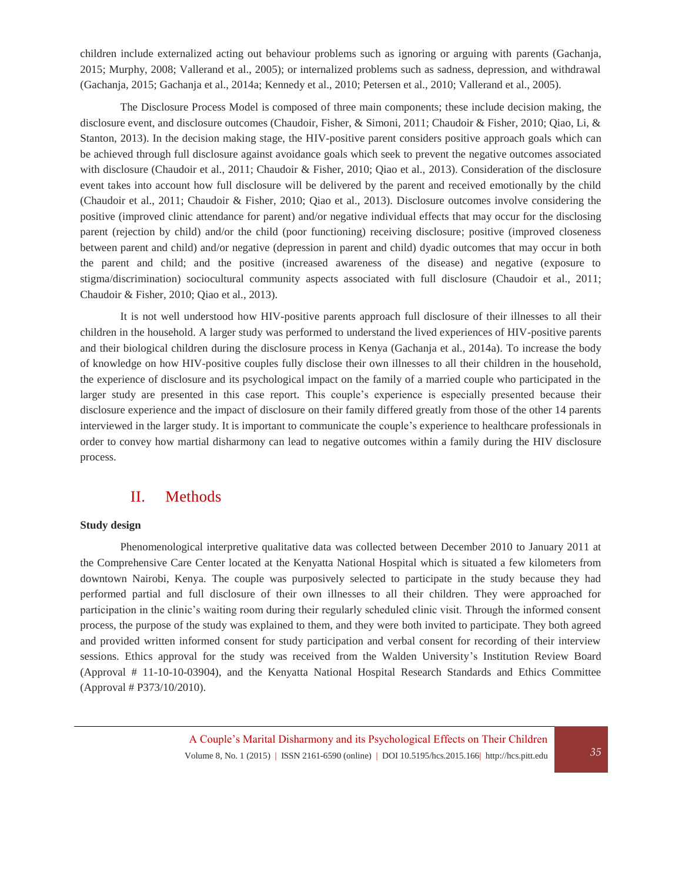children include externalized acting out behaviour problems such as ignoring or arguing with parents (Gachanja, 2015; Murphy, 2008; Vallerand et al., 2005); or internalized problems such as sadness, depression, and withdrawal (Gachanja, 2015; Gachanja et al., 2014a; Kennedy et al., 2010; Petersen et al., 2010; Vallerand et al., 2005).

The Disclosure Process Model is composed of three main components; these include decision making, the disclosure event, and disclosure outcomes (Chaudoir, Fisher, & Simoni, 2011; Chaudoir & Fisher, 2010; Qiao, Li, & Stanton, 2013). In the decision making stage, the HIV-positive parent considers positive approach goals which can be achieved through full disclosure against avoidance goals which seek to prevent the negative outcomes associated with disclosure (Chaudoir et al., 2011; Chaudoir & Fisher, 2010; Qiao et al., 2013). Consideration of the disclosure event takes into account how full disclosure will be delivered by the parent and received emotionally by the child (Chaudoir et al., 2011; Chaudoir & Fisher, 2010; Qiao et al., 2013). Disclosure outcomes involve considering the positive (improved clinic attendance for parent) and/or negative individual effects that may occur for the disclosing parent (rejection by child) and/or the child (poor functioning) receiving disclosure; positive (improved closeness between parent and child) and/or negative (depression in parent and child) dyadic outcomes that may occur in both the parent and child; and the positive (increased awareness of the disease) and negative (exposure to stigma/discrimination) sociocultural community aspects associated with full disclosure (Chaudoir et al., 2011; Chaudoir & Fisher, 2010; Qiao et al., 2013).

It is not well understood how HIV-positive parents approach full disclosure of their illnesses to all their children in the household. A larger study was performed to understand the lived experiences of HIV-positive parents and their biological children during the disclosure process in Kenya (Gachanja et al., 2014a). To increase the body of knowledge on how HIV-positive couples fully disclose their own illnesses to all their children in the household, the experience of disclosure and its psychological impact on the family of a married couple who participated in the larger study are presented in this case report. This couple's experience is especially presented because their disclosure experience and the impact of disclosure on their family differed greatly from those of the other 14 parents interviewed in the larger study. It is important to communicate the couple's experience to healthcare professionals in order to convey how martial disharmony can lead to negative outcomes within a family during the HIV disclosure process.

## II. Methods

#### **Study design**

Phenomenological interpretive qualitative data was collected between December 2010 to January 2011 at the Comprehensive Care Center located at the Kenyatta National Hospital which is situated a few kilometers from downtown Nairobi, Kenya. The couple was purposively selected to participate in the study because they had performed partial and full disclosure of their own illnesses to all their children. They were approached for participation in the clinic's waiting room during their regularly scheduled clinic visit. Through the informed consent process, the purpose of the study was explained to them, and they were both invited to participate. They both agreed and provided written informed consent for study participation and verbal consent for recording of their interview sessions. Ethics approval for the study was received from the Walden University's Institution Review Board (Approval # 11-10-10-03904), and the Kenyatta National Hospital Research Standards and Ethics Committee (Approval # P373/10/2010).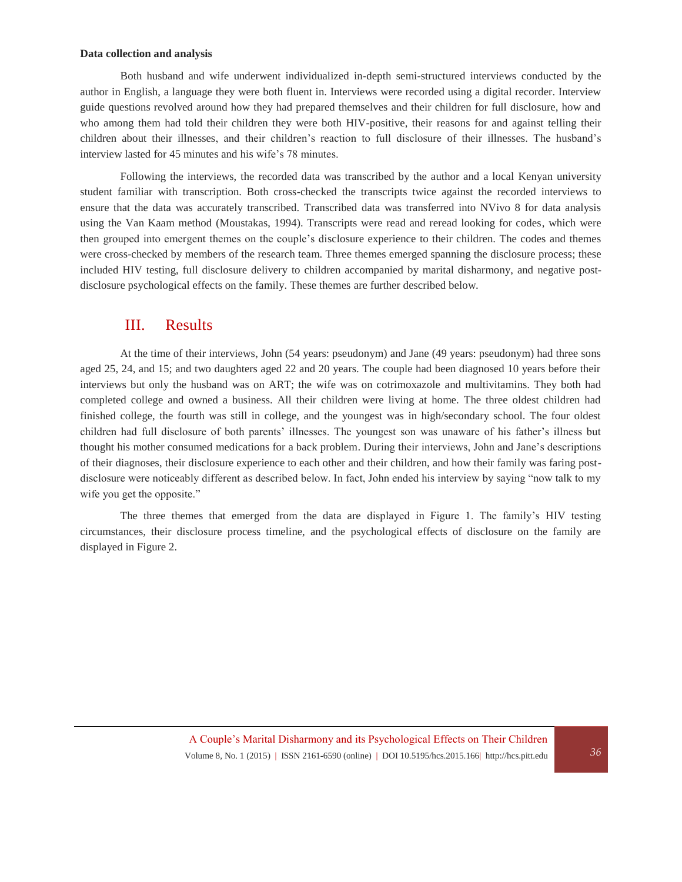#### **Data collection and analysis**

Both husband and wife underwent individualized in-depth semi-structured interviews conducted by the author in English, a language they were both fluent in. Interviews were recorded using a digital recorder. Interview guide questions revolved around how they had prepared themselves and their children for full disclosure, how and who among them had told their children they were both HIV-positive, their reasons for and against telling their children about their illnesses, and their children's reaction to full disclosure of their illnesses. The husband's interview lasted for 45 minutes and his wife's 78 minutes.

Following the interviews, the recorded data was transcribed by the author and a local Kenyan university student familiar with transcription. Both cross-checked the transcripts twice against the recorded interviews to ensure that the data was accurately transcribed. Transcribed data was transferred into NVivo 8 for data analysis using the Van Kaam method (Moustakas, 1994). Transcripts were read and reread looking for codes, which were then grouped into emergent themes on the couple's disclosure experience to their children. The codes and themes were cross-checked by members of the research team. Three themes emerged spanning the disclosure process; these included HIV testing, full disclosure delivery to children accompanied by marital disharmony, and negative postdisclosure psychological effects on the family. These themes are further described below.

### III. Results

At the time of their interviews, John (54 years: pseudonym) and Jane (49 years: pseudonym) had three sons aged 25, 24, and 15; and two daughters aged 22 and 20 years. The couple had been diagnosed 10 years before their interviews but only the husband was on ART; the wife was on cotrimoxazole and multivitamins. They both had completed college and owned a business. All their children were living at home. The three oldest children had finished college, the fourth was still in college, and the youngest was in high/secondary school. The four oldest children had full disclosure of both parents' illnesses. The youngest son was unaware of his father's illness but thought his mother consumed medications for a back problem. During their interviews, John and Jane's descriptions of their diagnoses, their disclosure experience to each other and their children, and how their family was faring postdisclosure were noticeably different as described below. In fact, John ended his interview by saying "now talk to my wife you get the opposite."

The three themes that emerged from the data are displayed in Figure 1. The family's HIV testing circumstances, their disclosure process timeline, and the psychological effects of disclosure on the family are displayed in Figure 2.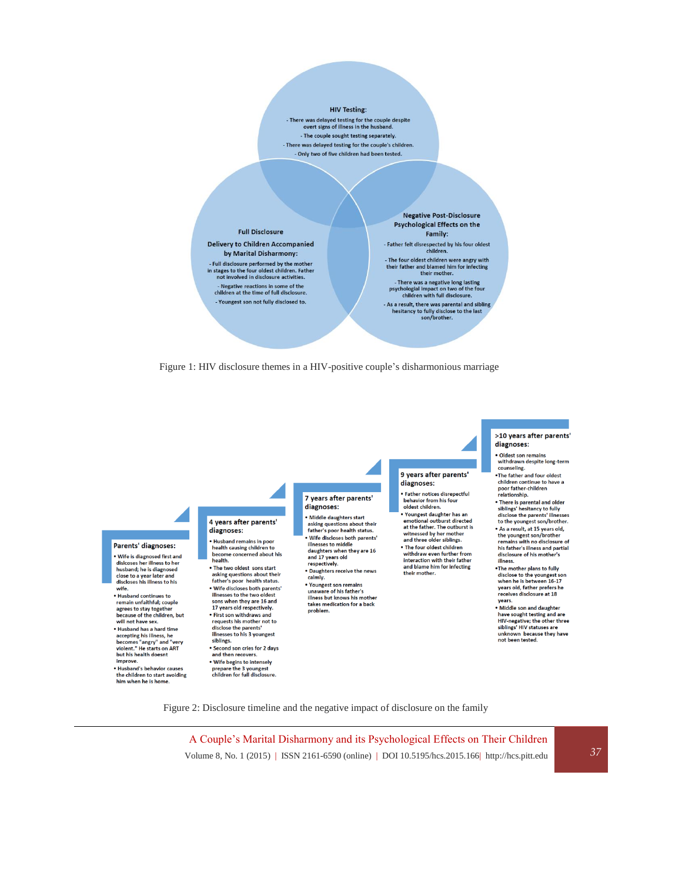#### **HIV Testing:**

- There was delayed testing for the couple despite<br>overt signs of illness in the husband. - The couple sought testing separately. - There was delayed testing for the couple's children. - Only two of five children had been tested.







Figure 2: Disclosure timeline and the negative impact of disclosure on the family

A Couple's Marital Disharmony and its Psychological Effects on Their Children Volume 8, No. 1 (2015) | ISSN 2161-6590 (online) | DOI 10.5195/hcs.2015.166| http://hcs.pitt.edu *37*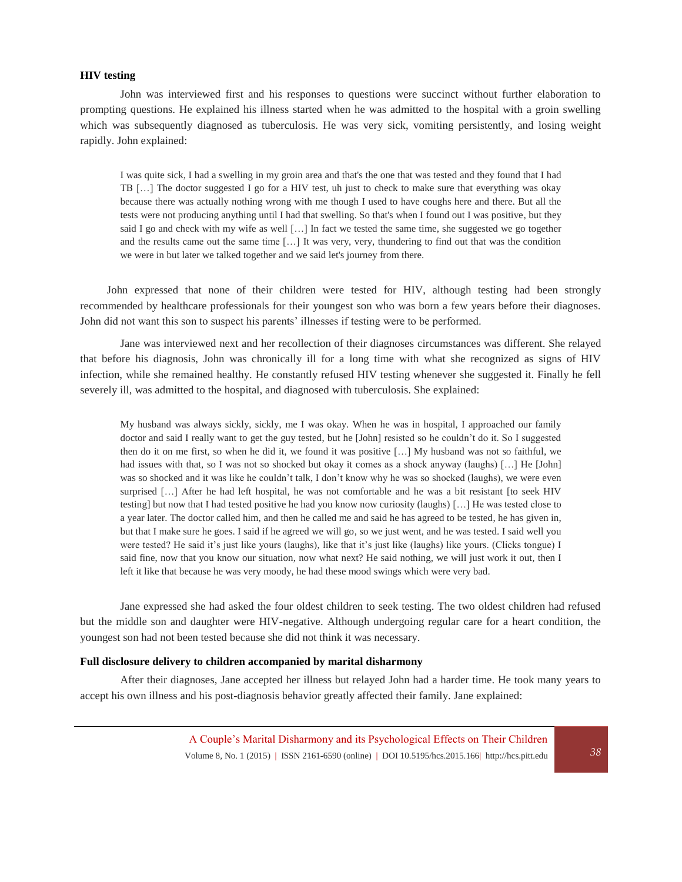#### **HIV testing**

John was interviewed first and his responses to questions were succinct without further elaboration to prompting questions. He explained his illness started when he was admitted to the hospital with a groin swelling which was subsequently diagnosed as tuberculosis. He was very sick, vomiting persistently, and losing weight rapidly. John explained:

I was quite sick, I had a swelling in my groin area and that's the one that was tested and they found that I had TB […] The doctor suggested I go for a HIV test, uh just to check to make sure that everything was okay because there was actually nothing wrong with me though I used to have coughs here and there. But all the tests were not producing anything until I had that swelling. So that's when I found out I was positive, but they said I go and check with my wife as well […] In fact we tested the same time, she suggested we go together and the results came out the same time […] It was very, very, thundering to find out that was the condition we were in but later we talked together and we said let's journey from there.

John expressed that none of their children were tested for HIV, although testing had been strongly recommended by healthcare professionals for their youngest son who was born a few years before their diagnoses. John did not want this son to suspect his parents' illnesses if testing were to be performed.

Jane was interviewed next and her recollection of their diagnoses circumstances was different. She relayed that before his diagnosis, John was chronically ill for a long time with what she recognized as signs of HIV infection, while she remained healthy. He constantly refused HIV testing whenever she suggested it. Finally he fell severely ill, was admitted to the hospital, and diagnosed with tuberculosis. She explained:

My husband was always sickly, sickly, me I was okay. When he was in hospital, I approached our family doctor and said I really want to get the guy tested, but he [John] resisted so he couldn't do it. So I suggested then do it on me first, so when he did it, we found it was positive […] My husband was not so faithful, we had issues with that, so I was not so shocked but okay it comes as a shock anyway (laughs) [...] He [John] was so shocked and it was like he couldn't talk, I don't know why he was so shocked (laughs), we were even surprised […] After he had left hospital, he was not comfortable and he was a bit resistant [to seek HIV testing] but now that I had tested positive he had you know now curiosity (laughs) […] He was tested close to a year later. The doctor called him, and then he called me and said he has agreed to be tested, he has given in, but that I make sure he goes. I said if he agreed we will go, so we just went, and he was tested. I said well you were tested? He said it's just like yours (laughs), like that it's just like (laughs) like yours. (Clicks tongue) I said fine, now that you know our situation, now what next? He said nothing, we will just work it out, then I left it like that because he was very moody, he had these mood swings which were very bad.

Jane expressed she had asked the four oldest children to seek testing. The two oldest children had refused but the middle son and daughter were HIV-negative. Although undergoing regular care for a heart condition, the youngest son had not been tested because she did not think it was necessary.

#### **Full disclosure delivery to children accompanied by marital disharmony**

After their diagnoses, Jane accepted her illness but relayed John had a harder time. He took many years to accept his own illness and his post-diagnosis behavior greatly affected their family. Jane explained: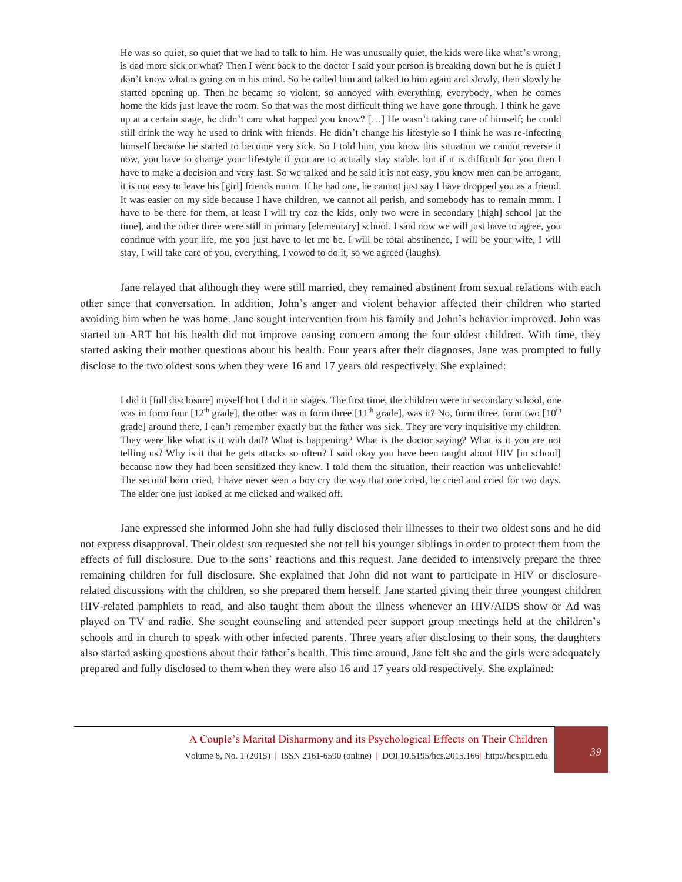He was so quiet, so quiet that we had to talk to him. He was unusually quiet, the kids were like what's wrong, is dad more sick or what? Then I went back to the doctor I said your person is breaking down but he is quiet I don't know what is going on in his mind. So he called him and talked to him again and slowly, then slowly he started opening up. Then he became so violent, so annoyed with everything, everybody, when he comes home the kids just leave the room. So that was the most difficult thing we have gone through. I think he gave up at a certain stage, he didn't care what happed you know? […] He wasn't taking care of himself; he could still drink the way he used to drink with friends. He didn't change his lifestyle so I think he was re-infecting himself because he started to become very sick. So I told him, you know this situation we cannot reverse it now, you have to change your lifestyle if you are to actually stay stable, but if it is difficult for you then I have to make a decision and very fast. So we talked and he said it is not easy, you know men can be arrogant, it is not easy to leave his [girl] friends mmm. If he had one, he cannot just say I have dropped you as a friend. It was easier on my side because I have children, we cannot all perish, and somebody has to remain mmm. I have to be there for them, at least I will try coz the kids, only two were in secondary [high] school [at the time], and the other three were still in primary [elementary] school. I said now we will just have to agree, you continue with your life, me you just have to let me be. I will be total abstinence, I will be your wife, I will stay, I will take care of you, everything, I vowed to do it, so we agreed (laughs).

Jane relayed that although they were still married, they remained abstinent from sexual relations with each other since that conversation. In addition, John's anger and violent behavior affected their children who started avoiding him when he was home. Jane sought intervention from his family and John's behavior improved. John was started on ART but his health did not improve causing concern among the four oldest children. With time, they started asking their mother questions about his health. Four years after their diagnoses, Jane was prompted to fully disclose to the two oldest sons when they were 16 and 17 years old respectively. She explained:

I did it [full disclosure] myself but I did it in stages. The first time, the children were in secondary school, one was in form four  $[12^{th}$  grade], the other was in form three  $[11^{th}$  grade], was it? No, form three, form two  $[10^{th}$ grade] around there, I can't remember exactly but the father was sick. They are very inquisitive my children. They were like what is it with dad? What is happening? What is the doctor saying? What is it you are not telling us? Why is it that he gets attacks so often? I said okay you have been taught about HIV [in school] because now they had been sensitized they knew. I told them the situation, their reaction was unbelievable! The second born cried, I have never seen a boy cry the way that one cried, he cried and cried for two days. The elder one just looked at me clicked and walked off.

Jane expressed she informed John she had fully disclosed their illnesses to their two oldest sons and he did not express disapproval. Their oldest son requested she not tell his younger siblings in order to protect them from the effects of full disclosure. Due to the sons' reactions and this request, Jane decided to intensively prepare the three remaining children for full disclosure. She explained that John did not want to participate in HIV or disclosurerelated discussions with the children, so she prepared them herself. Jane started giving their three youngest children HIV-related pamphlets to read, and also taught them about the illness whenever an HIV/AIDS show or Ad was played on TV and radio. She sought counseling and attended peer support group meetings held at the children's schools and in church to speak with other infected parents. Three years after disclosing to their sons, the daughters also started asking questions about their father's health. This time around, Jane felt she and the girls were adequately prepared and fully disclosed to them when they were also 16 and 17 years old respectively. She explained: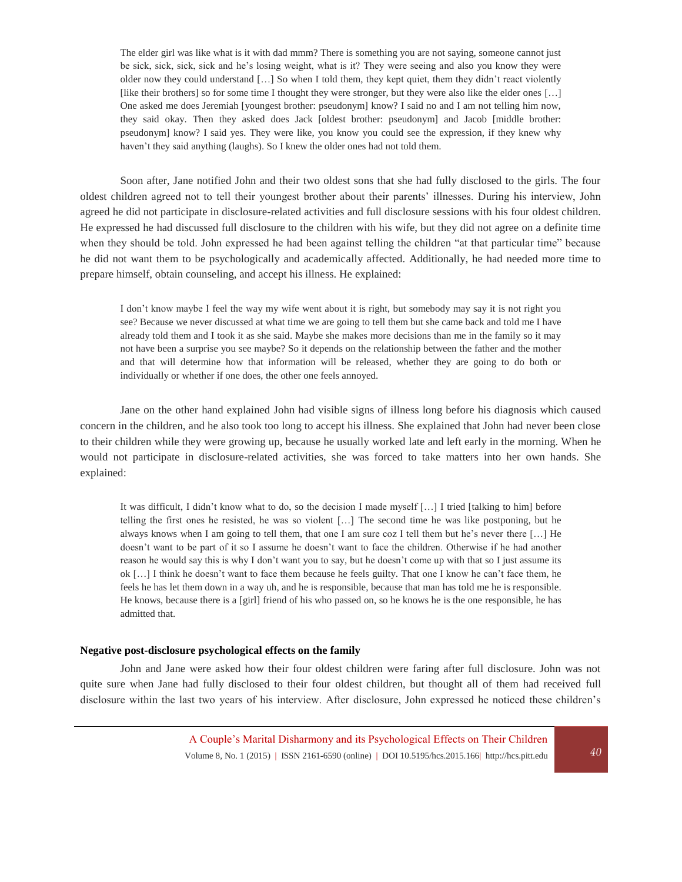The elder girl was like what is it with dad mmm? There is something you are not saying, someone cannot just be sick, sick, sick, sick and he's losing weight, what is it? They were seeing and also you know they were older now they could understand […] So when I told them, they kept quiet, them they didn't react violently [like their brothers] so for some time I thought they were stronger, but they were also like the elder ones […] One asked me does Jeremiah [youngest brother: pseudonym] know? I said no and I am not telling him now, they said okay. Then they asked does Jack [oldest brother: pseudonym] and Jacob [middle brother: pseudonym] know? I said yes. They were like, you know you could see the expression, if they knew why haven't they said anything (laughs). So I knew the older ones had not told them.

Soon after, Jane notified John and their two oldest sons that she had fully disclosed to the girls. The four oldest children agreed not to tell their youngest brother about their parents' illnesses. During his interview, John agreed he did not participate in disclosure-related activities and full disclosure sessions with his four oldest children. He expressed he had discussed full disclosure to the children with his wife, but they did not agree on a definite time when they should be told. John expressed he had been against telling the children "at that particular time" because he did not want them to be psychologically and academically affected. Additionally, he had needed more time to prepare himself, obtain counseling, and accept his illness. He explained:

I don't know maybe I feel the way my wife went about it is right, but somebody may say it is not right you see? Because we never discussed at what time we are going to tell them but she came back and told me I have already told them and I took it as she said. Maybe she makes more decisions than me in the family so it may not have been a surprise you see maybe? So it depends on the relationship between the father and the mother and that will determine how that information will be released, whether they are going to do both or individually or whether if one does, the other one feels annoyed.

Jane on the other hand explained John had visible signs of illness long before his diagnosis which caused concern in the children, and he also took too long to accept his illness. She explained that John had never been close to their children while they were growing up, because he usually worked late and left early in the morning. When he would not participate in disclosure-related activities, she was forced to take matters into her own hands. She explained:

It was difficult, I didn't know what to do, so the decision I made myself […] I tried [talking to him] before telling the first ones he resisted, he was so violent […] The second time he was like postponing, but he always knows when I am going to tell them, that one I am sure coz I tell them but he's never there […] He doesn't want to be part of it so I assume he doesn't want to face the children. Otherwise if he had another reason he would say this is why I don't want you to say, but he doesn't come up with that so I just assume its ok […] I think he doesn't want to face them because he feels guilty. That one I know he can't face them, he feels he has let them down in a way uh, and he is responsible, because that man has told me he is responsible. He knows, because there is a [girl] friend of his who passed on, so he knows he is the one responsible, he has admitted that.

#### **Negative post-disclosure psychological effects on the family**

John and Jane were asked how their four oldest children were faring after full disclosure. John was not quite sure when Jane had fully disclosed to their four oldest children, but thought all of them had received full disclosure within the last two years of his interview. After disclosure, John expressed he noticed these children's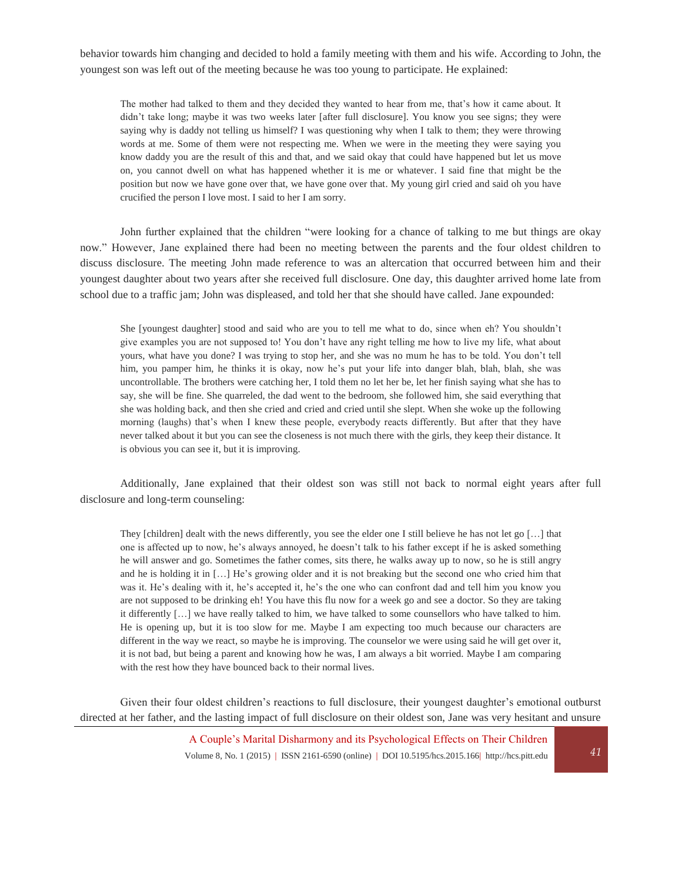behavior towards him changing and decided to hold a family meeting with them and his wife. According to John, the youngest son was left out of the meeting because he was too young to participate. He explained:

The mother had talked to them and they decided they wanted to hear from me, that's how it came about. It didn't take long; maybe it was two weeks later [after full disclosure]. You know you see signs; they were saying why is daddy not telling us himself? I was questioning why when I talk to them; they were throwing words at me. Some of them were not respecting me. When we were in the meeting they were saying you know daddy you are the result of this and that, and we said okay that could have happened but let us move on, you cannot dwell on what has happened whether it is me or whatever. I said fine that might be the position but now we have gone over that, we have gone over that. My young girl cried and said oh you have crucified the person I love most. I said to her I am sorry.

John further explained that the children "were looking for a chance of talking to me but things are okay now." However, Jane explained there had been no meeting between the parents and the four oldest children to discuss disclosure. The meeting John made reference to was an altercation that occurred between him and their youngest daughter about two years after she received full disclosure. One day, this daughter arrived home late from school due to a traffic jam; John was displeased, and told her that she should have called. Jane expounded:

She [youngest daughter] stood and said who are you to tell me what to do, since when eh? You shouldn't give examples you are not supposed to! You don't have any right telling me how to live my life, what about yours, what have you done? I was trying to stop her, and she was no mum he has to be told. You don't tell him, you pamper him, he thinks it is okay, now he's put your life into danger blah, blah, blah, she was uncontrollable. The brothers were catching her, I told them no let her be, let her finish saying what she has to say, she will be fine. She quarreled, the dad went to the bedroom, she followed him, she said everything that she was holding back, and then she cried and cried and cried until she slept. When she woke up the following morning (laughs) that's when I knew these people, everybody reacts differently. But after that they have never talked about it but you can see the closeness is not much there with the girls, they keep their distance. It is obvious you can see it, but it is improving.

Additionally, Jane explained that their oldest son was still not back to normal eight years after full disclosure and long-term counseling:

They [children] dealt with the news differently, you see the elder one I still believe he has not let go [...] that one is affected up to now, he's always annoyed, he doesn't talk to his father except if he is asked something he will answer and go. Sometimes the father comes, sits there, he walks away up to now, so he is still angry and he is holding it in […] He's growing older and it is not breaking but the second one who cried him that was it. He's dealing with it, he's accepted it, he's the one who can confront dad and tell him you know you are not supposed to be drinking eh! You have this flu now for a week go and see a doctor. So they are taking it differently […] we have really talked to him, we have talked to some counsellors who have talked to him. He is opening up, but it is too slow for me. Maybe I am expecting too much because our characters are different in the way we react, so maybe he is improving. The counselor we were using said he will get over it, it is not bad, but being a parent and knowing how he was, I am always a bit worried. Maybe I am comparing with the rest how they have bounced back to their normal lives.

Given their four oldest children's reactions to full disclosure, their youngest daughter's emotional outburst directed at her father, and the lasting impact of full disclosure on their oldest son, Jane was very hesitant and unsure

> A Couple's Marital Disharmony and its Psychological Effects on Their Children Volume 8, No. 1 (2015) | ISSN 2161-6590 (online) | DOI 10.5195/hcs.2015.166| http://hcs.pitt.edu *41*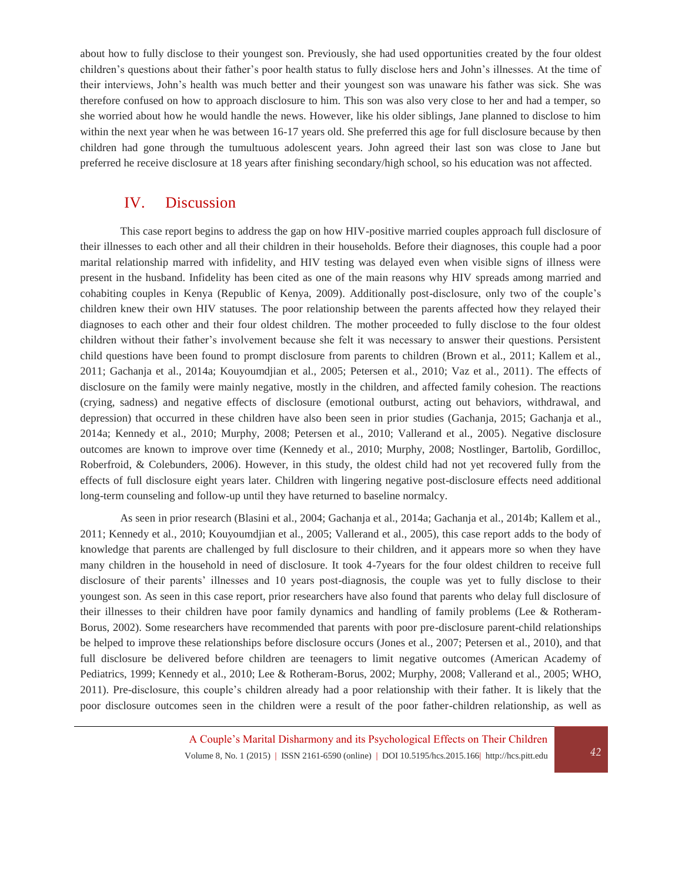about how to fully disclose to their youngest son. Previously, she had used opportunities created by the four oldest children's questions about their father's poor health status to fully disclose hers and John's illnesses. At the time of their interviews, John's health was much better and their youngest son was unaware his father was sick. She was therefore confused on how to approach disclosure to him. This son was also very close to her and had a temper, so she worried about how he would handle the news. However, like his older siblings, Jane planned to disclose to him within the next year when he was between 16-17 years old. She preferred this age for full disclosure because by then children had gone through the tumultuous adolescent years. John agreed their last son was close to Jane but preferred he receive disclosure at 18 years after finishing secondary/high school, so his education was not affected.

# IV. Discussion

This case report begins to address the gap on how HIV-positive married couples approach full disclosure of their illnesses to each other and all their children in their households. Before their diagnoses, this couple had a poor marital relationship marred with infidelity, and HIV testing was delayed even when visible signs of illness were present in the husband. Infidelity has been cited as one of the main reasons why HIV spreads among married and cohabiting couples in Kenya (Republic of Kenya, 2009). Additionally post-disclosure, only two of the couple's children knew their own HIV statuses. The poor relationship between the parents affected how they relayed their diagnoses to each other and their four oldest children. The mother proceeded to fully disclose to the four oldest children without their father's involvement because she felt it was necessary to answer their questions. Persistent child questions have been found to prompt disclosure from parents to children (Brown et al., 2011; Kallem et al., 2011; Gachanja et al., 2014a; Kouyoumdjian et al., 2005; Petersen et al., 2010; Vaz et al., 2011). The effects of disclosure on the family were mainly negative, mostly in the children, and affected family cohesion. The reactions (crying, sadness) and negative effects of disclosure (emotional outburst, acting out behaviors, withdrawal, and depression) that occurred in these children have also been seen in prior studies (Gachanja, 2015; Gachanja et al., 2014a; Kennedy et al., 2010; Murphy, 2008; Petersen et al., 2010; Vallerand et al., 2005). Negative disclosure outcomes are known to improve over time (Kennedy et al., 2010; Murphy, 2008; Nostlinger, Bartolib, Gordilloc, Roberfroid, & Colebunders, 2006). However, in this study, the oldest child had not yet recovered fully from the effects of full disclosure eight years later. Children with lingering negative post-disclosure effects need additional long-term counseling and follow-up until they have returned to baseline normalcy.

As seen in prior research (Blasini et al., 2004; Gachanja et al., 2014a; Gachanja et al., 2014b; Kallem et al., 2011; Kennedy et al., 2010; Kouyoumdjian et al., 2005; Vallerand et al., 2005), this case report adds to the body of knowledge that parents are challenged by full disclosure to their children, and it appears more so when they have many children in the household in need of disclosure. It took 4-7years for the four oldest children to receive full disclosure of their parents' illnesses and 10 years post-diagnosis, the couple was yet to fully disclose to their youngest son. As seen in this case report, prior researchers have also found that parents who delay full disclosure of their illnesses to their children have poor family dynamics and handling of family problems (Lee & Rotheram-Borus, 2002). Some researchers have recommended that parents with poor pre-disclosure parent-child relationships be helped to improve these relationships before disclosure occurs (Jones et al., 2007; Petersen et al., 2010), and that full disclosure be delivered before children are teenagers to limit negative outcomes (American Academy of Pediatrics, 1999; Kennedy et al., 2010; Lee & Rotheram-Borus, 2002; Murphy, 2008; Vallerand et al., 2005; WHO, 2011). Pre-disclosure, this couple's children already had a poor relationship with their father. It is likely that the poor disclosure outcomes seen in the children were a result of the poor father-children relationship, as well as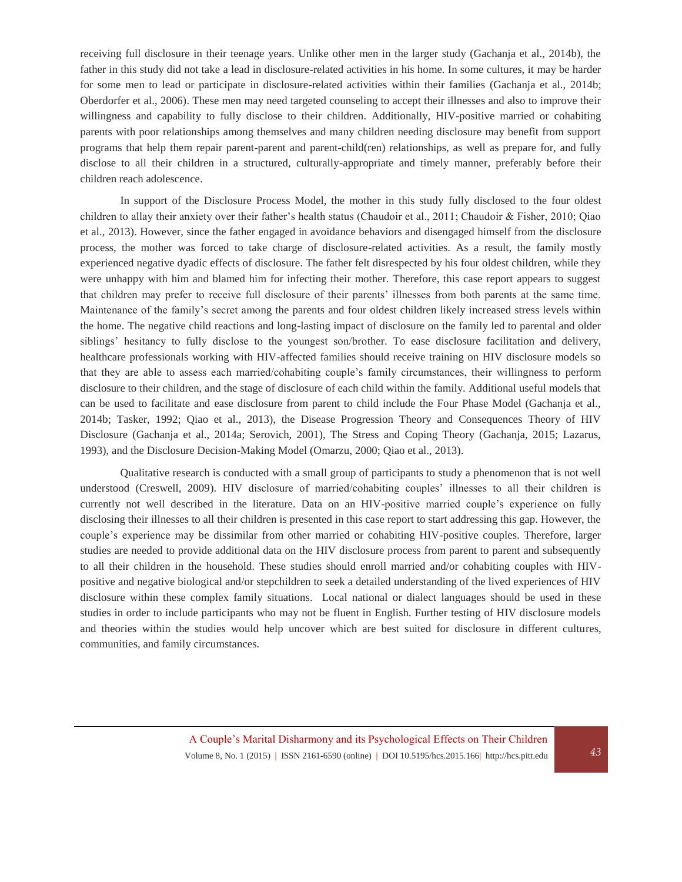receiving full disclosure in their teenage years. Unlike other men in the larger study (Gachanja et al., 2014b), the father in this study did not take a lead in disclosure-related activities in his home. In some cultures, it may be harder for some men to lead or participate in disclosure-related activities within their families (Gachanja et al., 2014b; Oberdorfer et al., 2006). These men may need targeted counseling to accept their illnesses and also to improve their willingness and capability to fully disclose to their children. Additionally, HIV-positive married or cohabiting parents with poor relationships among themselves and many children needing disclosure may benefit from support programs that help them repair parent-parent and parent-child(ren) relationships, as well as prepare for, and fully disclose to all their children in a structured, culturally-appropriate and timely manner, preferably before their children reach adolescence.

In support of the Disclosure Process Model, the mother in this study fully disclosed to the four oldest children to allay their anxiety over their father's health status (Chaudoir et al., 2011; Chaudoir & Fisher, 2010; Qiao et al., 2013). However, since the father engaged in avoidance behaviors and disengaged himself from the disclosure process, the mother was forced to take charge of disclosure-related activities. As a result, the family mostly experienced negative dyadic effects of disclosure. The father felt disrespected by his four oldest children, while they were unhappy with him and blamed him for infecting their mother. Therefore, this case report appears to suggest that children may prefer to receive full disclosure of their parents' illnesses from both parents at the same time. Maintenance of the family's secret among the parents and four oldest children likely increased stress levels within the home. The negative child reactions and long-lasting impact of disclosure on the family led to parental and older siblings' hesitancy to fully disclose to the youngest son/brother. To ease disclosure facilitation and delivery, healthcare professionals working with HIV-affected families should receive training on HIV disclosure models so that they are able to assess each married/cohabiting couple's family circumstances, their willingness to perform disclosure to their children, and the stage of disclosure of each child within the family. Additional useful models that can be used to facilitate and ease disclosure from parent to child include the Four Phase Model (Gachanja et al., 2014b; Tasker, 1992; Qiao et al., 2013), the Disease Progression Theory and Consequences Theory of HIV Disclosure (Gachanja et al., 2014a; Serovich, 2001), The Stress and Coping Theory (Gachanja, 2015; Lazarus, 1993), and the Disclosure Decision-Making Model (Omarzu, 2000; Qiao et al., 2013).

Qualitative research is conducted with a small group of participants to study a phenomenon that is not well understood (Creswell, 2009). HIV disclosure of married/cohabiting couples' illnesses to all their children is currently not well described in the literature. Data on an HIV-positive married couple's experience on fully disclosing their illnesses to all their children is presented in this case report to start addressing this gap. However, the couple's experience may be dissimilar from other married or cohabiting HIV-positive couples. Therefore, larger studies are needed to provide additional data on the HIV disclosure process from parent to parent and subsequently to all their children in the household. These studies should enroll married and/or cohabiting couples with HIVpositive and negative biological and/or stepchildren to seek a detailed understanding of the lived experiences of HIV disclosure within these complex family situations. Local national or dialect languages should be used in these studies in order to include participants who may not be fluent in English. Further testing of HIV disclosure models and theories within the studies would help uncover which are best suited for disclosure in different cultures, communities, and family circumstances.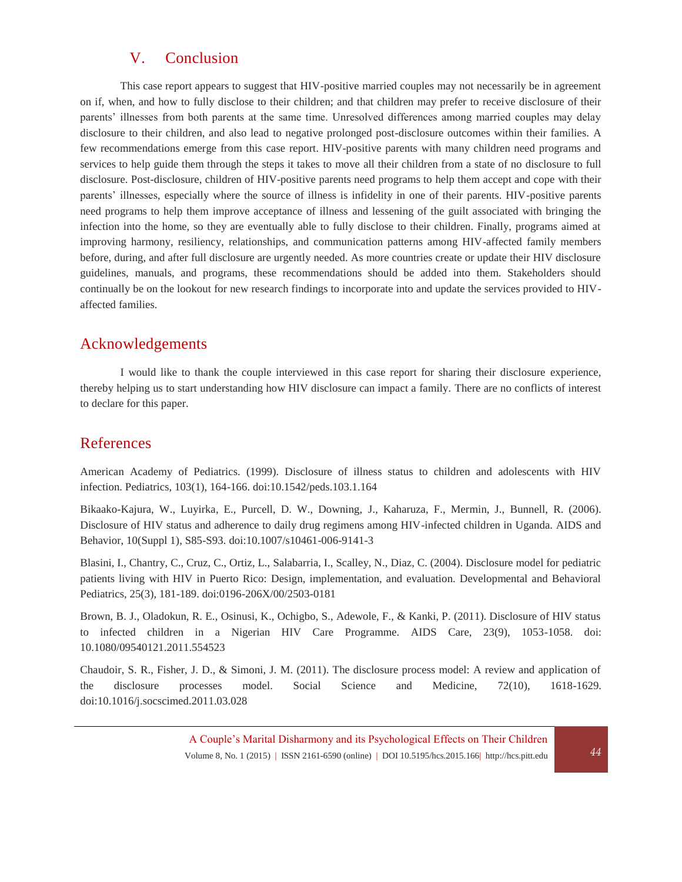# V. Conclusion

This case report appears to suggest that HIV-positive married couples may not necessarily be in agreement on if, when, and how to fully disclose to their children; and that children may prefer to receive disclosure of their parents' illnesses from both parents at the same time. Unresolved differences among married couples may delay disclosure to their children, and also lead to negative prolonged post-disclosure outcomes within their families. A few recommendations emerge from this case report. HIV-positive parents with many children need programs and services to help guide them through the steps it takes to move all their children from a state of no disclosure to full disclosure. Post-disclosure, children of HIV-positive parents need programs to help them accept and cope with their parents' illnesses, especially where the source of illness is infidelity in one of their parents. HIV-positive parents need programs to help them improve acceptance of illness and lessening of the guilt associated with bringing the infection into the home, so they are eventually able to fully disclose to their children. Finally, programs aimed at improving harmony, resiliency, relationships, and communication patterns among HIV-affected family members before, during, and after full disclosure are urgently needed. As more countries create or update their HIV disclosure guidelines, manuals, and programs, these recommendations should be added into them. Stakeholders should continually be on the lookout for new research findings to incorporate into and update the services provided to HIVaffected families.

# Acknowledgements

I would like to thank the couple interviewed in this case report for sharing their disclosure experience, thereby helping us to start understanding how HIV disclosure can impact a family. There are no conflicts of interest to declare for this paper.

# References

American Academy of Pediatrics. (1999). Disclosure of illness status to children and adolescents with HIV infection. Pediatrics, 103(1), 164-166. doi:10.1542/peds.103.1.164

Bikaako-Kajura, W., Luyirka, E., Purcell, D. W., Downing, J., Kaharuza, F., Mermin, J., Bunnell, R. (2006). Disclosure of HIV status and adherence to daily drug regimens among HIV-infected children in Uganda. AIDS and Behavior, 10(Suppl 1), S85-S93. doi:10.1007/s10461-006-9141-3

Blasini, I., Chantry, C., Cruz, C., Ortiz, L., Salabarria, I., Scalley, N., Diaz, C. (2004). Disclosure model for pediatric patients living with HIV in Puerto Rico: Design, implementation, and evaluation. Developmental and Behavioral Pediatrics, 25(3), 181-189. doi:0196-206X/00/2503-0181

Brown, B. J., Oladokun, R. E., Osinusi, K., Ochigbo, S., Adewole, F., & Kanki, P. (2011). Disclosure of HIV status to infected children in a Nigerian HIV Care Programme. AIDS Care, 23(9), 1053-1058. doi: 10.1080/09540121.2011.554523

Chaudoir, S. R., Fisher, J. D., & Simoni, J. M. (2011). The disclosure process model: A review and application of the disclosure processes model. Social Science and Medicine, 72(10), 1618-1629. doi:10.1016/j.socscimed.2011.03.028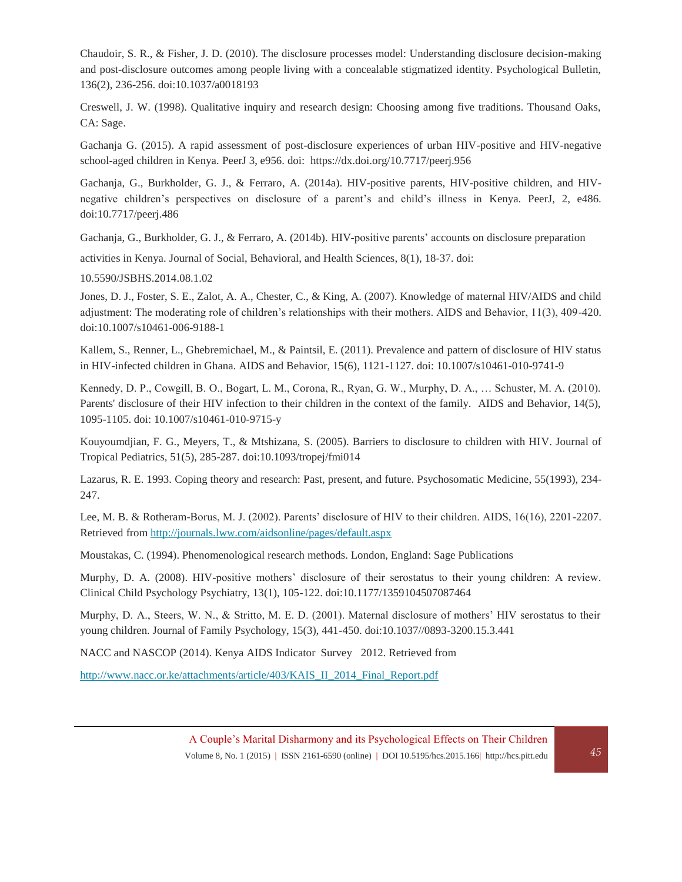Chaudoir, S. R., & Fisher, J. D. (2010). The disclosure processes model: Understanding disclosure decision-making and post-disclosure outcomes among people living with a concealable stigmatized identity. Psychological Bulletin, 136(2), 236-256. doi:10.1037/a0018193

Creswell, J. W. (1998). Qualitative inquiry and research design: Choosing among five traditions. Thousand Oaks, CA: Sage.

Gachanja G. (2015). A rapid assessment of post-disclosure experiences of urban HIV-positive and HIV-negative school-aged children in Kenya. PeerJ 3, e956. doi:<https://dx.doi.org/10.7717/peerj.956>

Gachanja, G., Burkholder, G. J., & Ferraro, A. (2014a). HIV-positive parents, HIV-positive children, and HIVnegative children's perspectives on disclosure of a parent's and child's illness in Kenya. PeerJ, 2, e486. doi:10.7717/peerj.486

Gachanja, G., Burkholder, G. J., & Ferraro, A. (2014b). HIV-positive parents' accounts on disclosure preparation

activities in Kenya. Journal of Social, Behavioral, and Health Sciences, 8(1), 18-37. doi:

10.5590/JSBHS.2014.08.1.02

Jones, D. J., Foster, S. E., Zalot, A. A., Chester, C., & King, A. (2007). Knowledge of maternal HIV/AIDS and child adjustment: The moderating role of children's relationships with their mothers. AIDS and Behavior, 11(3), 409-420. doi:10.1007/s10461-006-9188-1

Kallem, S., Renner, L., Ghebremichael, M., & Paintsil, E. (2011). Prevalence and pattern of disclosure of HIV status in HIV-infected children in Ghana. AIDS and Behavior, 15(6), 1121-1127. doi: 10.1007/s10461-010-9741-9

Kennedy, D. P., Cowgill, B. O., Bogart, L. M., Corona, R., Ryan, G. W., Murphy, D. A., … Schuster, M. A. (2010). Parents' disclosure of their HIV infection to their children in the context of the family. AIDS and Behavior, 14(5), 1095-1105. doi: 10.1007/s10461-010-9715-y

Kouyoumdjian, F. G., Meyers, T., & Mtshizana, S. (2005). Barriers to disclosure to children with HIV. Journal of Tropical Pediatrics, 51(5), 285-287. doi:10.1093/tropej/fmi014

Lazarus, R. E. 1993. [Coping theory and research: Past, present, and future.](https://dx.doi.org/10.1097%2F00006842-199305000-00002) Psychosomatic Medicine, 55(1993), 234- 247.

Lee, M. B. & Rotheram-Borus, M. J. (2002). Parents' disclosure of HIV to their children. AIDS, 16(16), 2201-2207. Retrieved from<http://journals.lww.com/aidsonline/pages/default.aspx>

Moustakas, C. (1994). Phenomenological research methods. London, England: Sage Publications

Murphy, D. A. (2008). HIV-positive mothers' disclosure of their serostatus to their young children: A review. Clinical Child Psychology Psychiatry, 13(1), 105-122. doi:10.1177/1359104507087464

Murphy, D. A., Steers, W. N., & Stritto, M. E. D. (2001). Maternal disclosure of mothers' HIV serostatus to their young children. Journal of Family Psychology, 15(3), 441-450. doi:10.1037//0893-3200.15.3.441

NACC and NASCOP (2014). Kenya AIDS Indicator Survey 2012. Retrieved from

[http://www.nacc.or.ke/attachments/article/403/KAIS\\_II\\_2014\\_Final\\_Report.pdf](http://www.nacc.or.ke/attachments/article/403/KAIS_II_2014_Final_Report.pdf)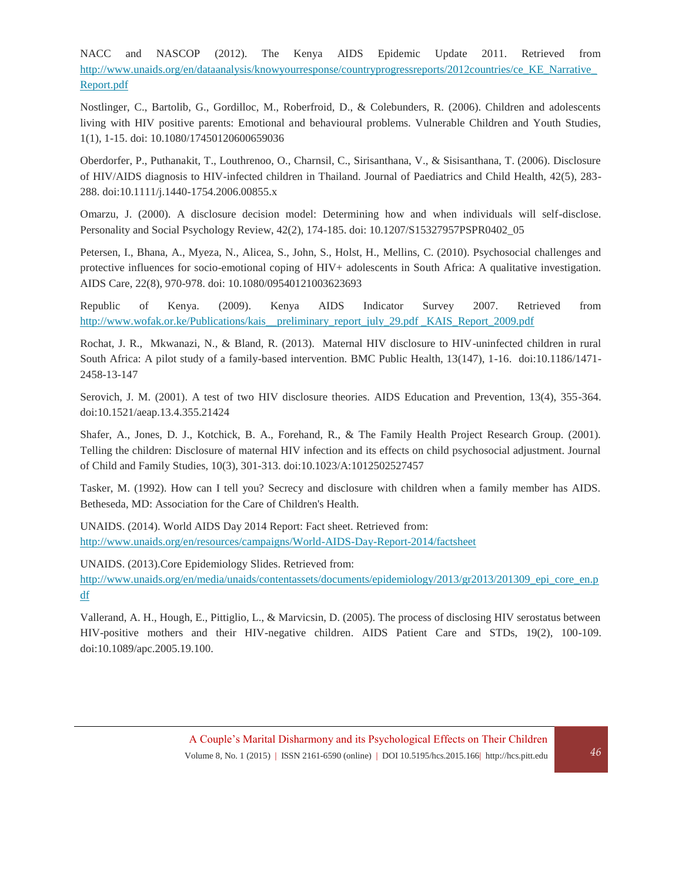NACC and NASCOP (2012). The Kenya AIDS Epidemic Update 2011. Retrieved from [http://www.unaids.org/en/dataanalysis/knowyourresponse/countryprogressreports/2012countries/ce\\_KE\\_Narrative\\_](http://www.unaids.org/en/dataanalysis/knowyourresponse/countryprogressreports/2012countries/ce_KE_Narrative_Report.pdf) [Report.pdf](http://www.unaids.org/en/dataanalysis/knowyourresponse/countryprogressreports/2012countries/ce_KE_Narrative_Report.pdf)

Nostlinger, C., Bartolib, G., Gordilloc, M., Roberfroid, D., & Colebunders, R. (2006). Children and adolescents living with HIV positive parents: Emotional and behavioural problems. Vulnerable Children and Youth Studies, 1(1), 1-15. doi: 10.1080/17450120600659036

Oberdorfer, P., Puthanakit, T., Louthrenoo, O., Charnsil, C., Sirisanthana, V., & Sisisanthana, T. (2006). Disclosure of HIV/AIDS diagnosis to HIV-infected children in Thailand. Journal of Paediatrics and Child Health, 42(5), 283- 288. doi:10.1111/j.1440-1754.2006.00855.x

Omarzu, J. (2000). A disclosure decision model: Determining how and when individuals will self-disclose. Personality and Social Psychology Review, 42(2), 174-185. doi: 10.1207/S15327957PSPR0402\_05

Petersen, I., Bhana, A., Myeza, N., Alicea, S., John, S., Holst, H., Mellins, C. (2010). Psychosocial challenges and protective influences for socio-emotional coping of HIV+ adolescents in South Africa: A qualitative investigation. AIDS Care, 22(8), 970-978. doi: 10.1080/09540121003623693

Republic of Kenya. (2009). Kenya AIDS Indicator Survey 2007. Retrieved from [http://www.wofak.or.ke/Publications/kais\\_\\_preliminary\\_report\\_july\\_29.pdf \\_KAIS\\_Report\\_2009.pdf](http://www.wofak.or.ke/Publications/kais__preliminary_report_july_29.pdf%20_KAIS_Report_2009.pdf)

Rochat, J. R., Mkwanazi, N., & Bland, R. (2013). Maternal HIV disclosure to HIV-uninfected children in rural South Africa: A pilot study of a family-based intervention. BMC Public Health, 13(147), 1-16. doi:10.1186/1471- 2458-13-147

Serovich, J. M. (2001). A test of two HIV disclosure theories. AIDS Education and Prevention, 13(4), 355-364. doi:10.1521/aeap.13.4.355.21424

Shafer, A., Jones, D. J., Kotchick, B. A., Forehand, R., & The Family Health Project Research Group. (2001). Telling the children: Disclosure of maternal HIV infection and its effects on child psychosocial adjustment. Journal of Child and Family Studies, 10(3), 301-313. doi:10.1023/A:1012502527457

Tasker, M. (1992). How can I tell you? Secrecy and disclosure with children when a family member has AIDS. Betheseda, MD: Association for the Care of Children's Health.

UNAIDS. (2014). World AIDS Day 2014 Report: Fact sheet. Retrieved from: <http://www.unaids.org/en/resources/campaigns/World-AIDS-Day-Report-2014/factsheet>

UNAIDS. (2013).Core Epidemiology Slides. Retrieved from:

[http://www.unaids.org/en/media/unaids/contentassets/documents/epidemiology/2013/gr2013/201309\\_epi\\_core\\_en.p](http://www.unaids.org/en/media/unaids/contentassets/documents/epidemiology/2013/gr2013/201309_epi_core_en.pdf) [df](http://www.unaids.org/en/media/unaids/contentassets/documents/epidemiology/2013/gr2013/201309_epi_core_en.pdf)

Vallerand, A. H., Hough, E., Pittiglio, L., & Marvicsin, D. (2005). The process of disclosing HIV serostatus between HIV-positive mothers and their HIV-negative children. AIDS Patient Care and STDs, 19(2), 100-109. doi:10.1089/apc.2005.19.100.